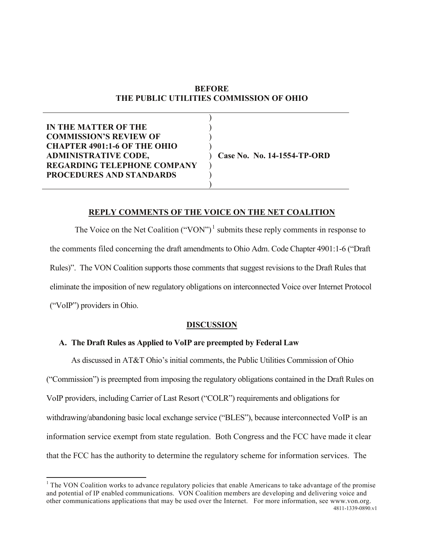# **BEFORE THE PUBLIC UTILITIES COMMISSION OF OHIO**

**IN THE MATTER OF THE COMMISSION'S REVIEW OF CHAPTER 4901:1-6 OF THE OHIO ADMINISTRATIVE CODE, REGARDING TELEPHONE COMPANY PROCEDURES AND STANDARDS** ) ) ) ) ) **Case No. No. 14-1554-TP-ORD** ) ) )

## **REPLY COMMENTS OF THE VOICE ON THE NET COALITION**

The Voice on the Net Coalition ("VON")<sup>[1](#page-0-0)</sup> submits these reply comments in response to the comments filed concerning the draft amendments to Ohio Adm. Code Chapter 4901:1-6 ("Draft Rules)". The VON Coalition supports those comments that suggest revisions to the Draft Rules that eliminate the imposition of new regulatory obligations on interconnected Voice over Internet Protocol ("VoIP") providers in Ohio.

### **DISCUSSION**

# **A. The Draft Rules as Applied to VoIP are preempted by Federal Law**

As discussed in AT&T Ohio's initial comments, the Public Utilities Commission of Ohio ("Commission") is preempted from imposing the regulatory obligations contained in the Draft Rules on VoIP providers, including Carrier of Last Resort ("COLR") requirements and obligations for withdrawing/abandoning basic local exchange service ("BLES"), because interconnected VoIP is an information service exempt from state regulation. Both Congress and the FCC have made it clear that the FCC has the authority to determine the regulatory scheme for information services. The

<span id="page-0-0"></span><sup>4811-1339-0890.</sup>v1  $1$  The VON Coalition works to advance regulatory policies that enable Americans to take advantage of the promise and potential of IP enabled communications. VON Coalition members are developing and delivering voice and other communications applications that may be used over the Internet. For more information, see www.von.org.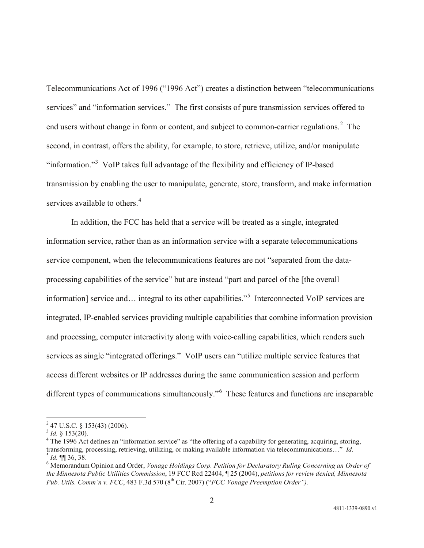Telecommunications Act of 1996 ("1996 Act") creates a distinction between "telecommunications services" and "information services." The first consists of pure transmission services offered to end users without change in form or content, and subject to common-carrier regulations. $2$  The second, in contrast, offers the ability, for example, to store, retrieve, utilize, and/or manipulate "information."<sup>[3](#page-1-1)</sup> VoIP takes full advantage of the flexibility and efficiency of IP-based transmission by enabling the user to manipulate, generate, store, transform, and make information services available to others.<sup>[4](#page-1-2)</sup>

In addition, the FCC has held that a service will be treated as a single, integrated information service, rather than as an information service with a separate telecommunications service component, when the telecommunications features are not "separated from the dataprocessing capabilities of the service" but are instead "part and parcel of the [the overall information] service and... integral to its other capabilities."<sup>[5](#page-1-3)</sup> Interconnected VoIP services are integrated, IP-enabled services providing multiple capabilities that combine information provision and processing, computer interactivity along with voice-calling capabilities, which renders such services as single "integrated offerings." VoIP users can "utilize multiple service features that access different websites or IP addresses during the same communication session and perform different types of communications simultaneously."<sup>[6](#page-1-4)</sup> These features and functions are inseparable

<span id="page-1-0"></span> $^{2}$  47 U.S.C. § 153(43) (2006).<br> $^{3}$  *Id.* § 153(20).

<span id="page-1-1"></span>

<span id="page-1-2"></span><sup>&</sup>lt;sup>4</sup> The 1996 Act defines an "information service" as "the offering of a capability for generating, acquiring, storing, transforming, processing, retrieving, utilizing, or making available information via telecommunication  $\frac{5}{1}$  Id.  $\P$  36, 38.<br> $\frac{6}{1}$  Memorandum Opinion and Order, *Vonage Holdings Corp. Petition for Declaratory Ruling Concerning an Order of* 

<span id="page-1-4"></span><span id="page-1-3"></span>*the Minnesota Public Utilities Commission*, 19 FCC Rcd 22404, ¶ 25 (2004), *petitions for review denied, Minnesota Pub. Utils. Comm'n v. FCC*, 483 F.3d 570 (8th Cir. 2007) ("*FCC Vonage Preemption Order").*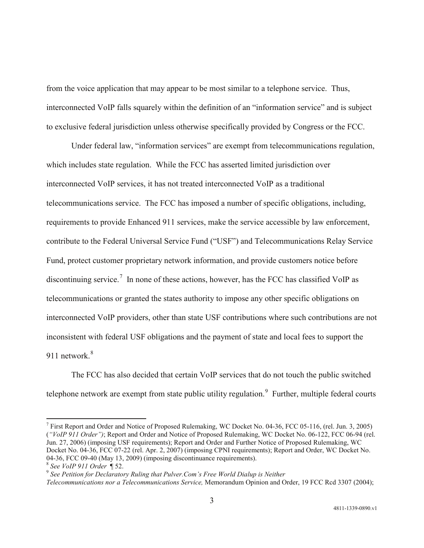from the voice application that may appear to be most similar to a telephone service. Thus, interconnected VoIP falls squarely within the definition of an "information service" and is subject to exclusive federal jurisdiction unless otherwise specifically provided by Congress or the FCC.

Under federal law, "information services" are exempt from telecommunications regulation, which includes state regulation. While the FCC has asserted limited jurisdiction over interconnected VoIP services, it has not treated interconnected VoIP as a traditional telecommunications service. The FCC has imposed a number of specific obligations, including, requirements to provide Enhanced 911 services, make the service accessible by law enforcement, contribute to the Federal Universal Service Fund ("USF") and Telecommunications Relay Service Fund, protect customer proprietary network information, and provide customers notice before discontinuing service.<sup>[7](#page-2-0)</sup> In none of these actions, however, has the FCC has classified VoIP as telecommunications or granted the states authority to impose any other specific obligations on interconnected VoIP providers, other than state USF contributions where such contributions are not inconsistent with federal USF obligations and the payment of state and local fees to support the 911 network<sup>[8](#page-2-1)</sup>

The FCC has also decided that certain VoIP services that do not touch the public switched telephone network are exempt from state public utility regulation. $\degree$  Further, multiple federal courts

<span id="page-2-0"></span><sup>7</sup> First Report and Order and Notice of Proposed Rulemaking, WC Docket No. 04-36, FCC 05-116, (rel. Jun. 3, 2005) (*"VoIP 911 Order")*; Report and Order and Notice of Proposed Rulemaking, WC Docket No. 06-122, FCC 06-94 (rel. Jun. 27, 2006) (imposing USF requirements); Report and Order and Further Notice of Proposed Rulemaking, WC Docket No. 04-36, FCC 07-22 (rel. Apr. 2, 2007) (imposing CPNI requirements); Report and Order, WC Docket No. 04-36, FCC 09-40 (May 13, 2009) (imposing discontinuance requirements).<br><sup>8</sup> *See VoIP 911 Order* ¶ 52.<br><sup>9</sup> *See Petition for Declaratory Ruling that Pulver.Com's Free World Dialup is Neither* 

<span id="page-2-2"></span><span id="page-2-1"></span>

*Telecommunications nor a Telecommunications Service,* Memorandum Opinion and Order, 19 FCC Rcd 3307 (2004);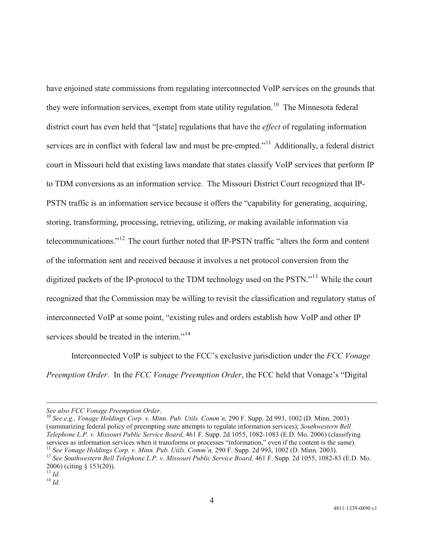have enjoined state commissions from regulating interconnected VoIP services on the grounds that they were information services, exempt from state utility regulation.<sup>10</sup> The Minnesota federal district court has even held that "[state] regulations that have the *effect* of regulating information services are in conflict with federal law and must be pre-empted."<sup>11</sup> Additionally, a federal district court in Missouri held that existing laws mandate that states classify VoIP services that perform IP to TDM conversions as an information service. The Missouri District Court recognized that IP-PSTN traffic is an information service because it offers the "capability for generating, acquiring, storing, transforming, processing, retrieving, utilizing, or making available information via telecommunications."[12](#page-3-2) The court further noted that IP-PSTN traffic "alters the form and content of the information sent and received because it involves a net protocol conversion from the digitized packets of the IP-protocol to the TDM technology used on the PSTN."<sup>[13](#page-3-3)</sup> While the court recognized that the Commission may be willing to revisit the classification and regulatory status of interconnected VoIP at some point, "existing rules and orders establish how VoIP and other IP services should be treated in the interim."<sup>[14](#page-3-4)</sup>

Interconnected VoIP is subject to the FCC's exclusive jurisdiction under the *FCC Vonage Preemption Order*. In the *FCC Vonage Preemption Order*, the FCC held that Vonage's "Digital

<span id="page-3-0"></span>*See also FCC Vonage Preemption Order*. <sup>10</sup> *See e.g., Vonage Holdings Corp. v. Minn. Pub. Utils. Comm'n,* 290 F. Supp. 2d 993, 1002 (D. Minn. 2003) (summarizing federal policy of preempting state attempts to regulate information services); *Southwestern Bell Telephone L.P. v. Missouri Public Service Board,* 461 F. Supp. 2d 1055, 1082-1083 (E.D. Mo. 2006) (classifying services as information services when it transforms or processes "information," even if the content is the same).<br><sup>11</sup> See Vonage Holdings Corp. v. Minn. Pub. Utils. Comm'n, 290 F. Supp. 2d 993, 1002 (D. Minn. 2003).

 $\overline{a}$ 

<span id="page-3-2"></span><span id="page-3-1"></span><sup>&</sup>lt;sup>12</sup> See Southwestern Bell Telephone L.P. v. Missouri Public Service Board, 461 F. Supp. 2d 1055, 1082-83 (E.D. Mo. 2006) (citing § 153(20)). <sup>13</sup> *Id.* <sup>14</sup> *Id.*

<span id="page-3-3"></span>

<span id="page-3-4"></span>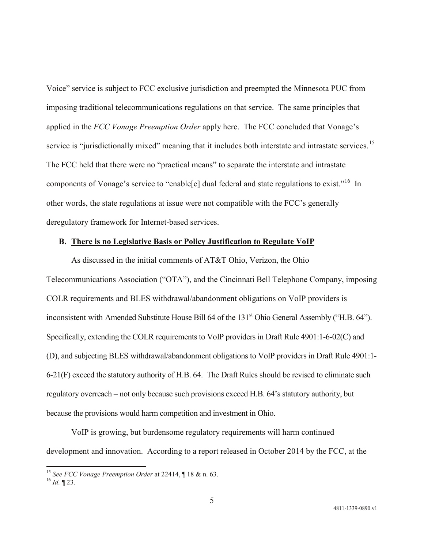Voice" service is subject to FCC exclusive jurisdiction and preempted the Minnesota PUC from imposing traditional telecommunications regulations on that service. The same principles that applied in the *FCC Vonage Preemption Order* apply here. The FCC concluded that Vonage's service is "jurisdictionally mixed" meaning that it includes both interstate and intrastate services.<sup>[15](#page-4-0)</sup> The FCC held that there were no "practical means" to separate the interstate and intrastate components of Vonage's service to "enable[e] dual federal and state regulations to exist."<sup>16</sup> In other words, the state regulations at issue were not compatible with the FCC's generally deregulatory framework for Internet-based services.

## **B. There is no Legislative Basis or Policy Justification to Regulate VoIP**

As discussed in the initial comments of AT&T Ohio, Verizon, the Ohio Telecommunications Association ("OTA"), and the Cincinnati Bell Telephone Company, imposing COLR requirements and BLES withdrawal/abandonment obligations on VoIP providers is inconsistent with Amended Substitute House Bill 64 of the 131<sup>st</sup> Ohio General Assembly ("H.B. 64"). Specifically, extending the COLR requirements to VoIP providers in Draft Rule 4901:1-6-02(C) and (D), and subjecting BLES withdrawal/abandonment obligations to VoIP providers in Draft Rule 4901:1- 6-21(F) exceed the statutory authority of H.B. 64. The Draft Rules should be revised to eliminate such regulatory overreach – not only because such provisions exceed H.B. 64's statutory authority, but because the provisions would harm competition and investment in Ohio.

VoIP is growing, but burdensome regulatory requirements will harm continued development and innovation. According to a report released in October 2014 by the FCC, at the

<span id="page-4-0"></span><sup>15</sup> *See FCC Vonage Preemption Order* at 22414, ¶ 18 & n. 63. <sup>16</sup> *Id.* ¶ 23.

<span id="page-4-1"></span>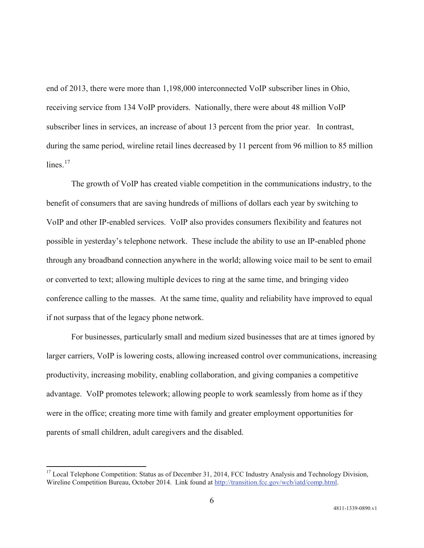end of 2013, there were more than 1,198,000 interconnected VoIP subscriber lines in Ohio, receiving service from 134 VoIP providers. Nationally, there were about 48 million VoIP subscriber lines in services, an increase of about 13 percent from the prior year. In contrast, during the same period, wireline retail lines decreased by 11 percent from 96 million to 85 million  $lines$ <sup>[17](#page-5-0)</sup>

The growth of VoIP has created viable competition in the communications industry, to the benefit of consumers that are saving hundreds of millions of dollars each year by switching to VoIP and other IP-enabled services. VoIP also provides consumers flexibility and features not possible in yesterday's telephone network. These include the ability to use an IP-enabled phone through any broadband connection anywhere in the world; allowing voice mail to be sent to email or converted to text; allowing multiple devices to ring at the same time, and bringing video conference calling to the masses. At the same time, quality and reliability have improved to equal if not surpass that of the legacy phone network.

For businesses, particularly small and medium sized businesses that are at times ignored by larger carriers, VoIP is lowering costs, allowing increased control over communications, increasing productivity, increasing mobility, enabling collaboration, and giving companies a competitive advantage. VoIP promotes telework; allowing people to work seamlessly from home as if they were in the office; creating more time with family and greater employment opportunities for parents of small children, adult caregivers and the disabled.

<span id="page-5-0"></span><sup>&</sup>lt;sup>17</sup> Local Telephone Competition: Status as of December 31, 2014, FCC Industry Analysis and Technology Division, Wireline Competition Bureau, October 2014. Link found at [http://transition.fcc.gov/wcb/iatd/comp.html.](http://transition.fcc.gov/wcb/iatd/comp.html)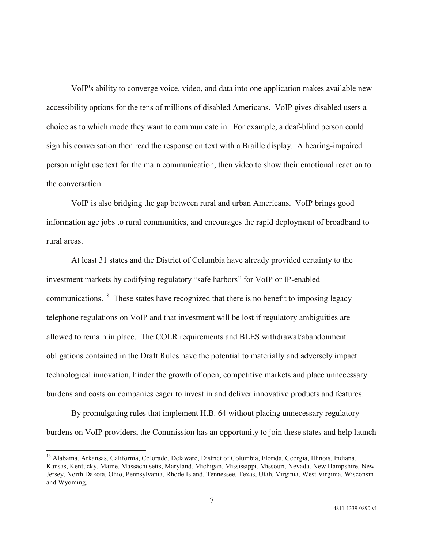VoIP's ability to converge voice, video, and data into one application makes available new accessibility options for the tens of millions of disabled Americans. VoIP gives disabled users a choice as to which mode they want to communicate in. For example, a deaf-blind person could sign his conversation then read the response on text with a Braille display. A hearing-impaired person might use text for the main communication, then video to show their emotional reaction to the conversation.

VoIP is also bridging the gap between rural and urban Americans. VoIP brings good information age jobs to rural communities, and encourages the rapid deployment of broadband to rural areas.

At least 31 states and the District of Columbia have already provided certainty to the investment markets by codifying regulatory "safe harbors" for VoIP or IP-enabled communications.<sup>18</sup> These states have recognized that there is no benefit to imposing legacy telephone regulations on VoIP and that investment will be lost if regulatory ambiguities are allowed to remain in place. The COLR requirements and BLES withdrawal/abandonment obligations contained in the Draft Rules have the potential to materially and adversely impact technological innovation, hinder the growth of open, competitive markets and place unnecessary burdens and costs on companies eager to invest in and deliver innovative products and features.

By promulgating rules that implement H.B. 64 without placing unnecessary regulatory burdens on VoIP providers, the Commission has an opportunity to join these states and help launch

<span id="page-6-0"></span><sup>18</sup> Alabama, Arkansas, California, Colorado, Delaware, District of Columbia, Florida, Georgia, Illinois, Indiana, Kansas, Kentucky, Maine, Massachusetts, Maryland, Michigan, Mississippi, Missouri, Nevada. New Hampshire, New Jersey, North Dakota, Ohio, Pennsylvania, Rhode Island, Tennessee, Texas, Utah, Virginia, West Virginia, Wisconsin and Wyoming.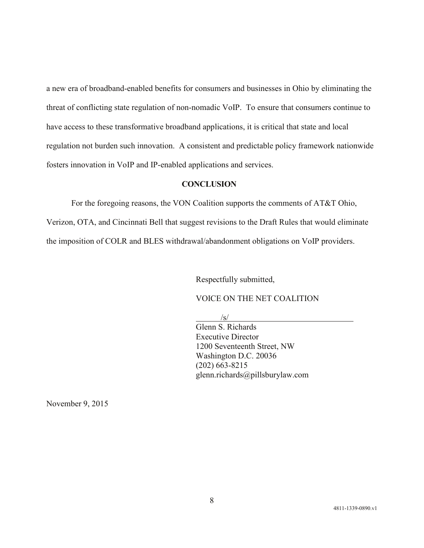a new era of broadband-enabled benefits for consumers and businesses in Ohio by eliminating the threat of conflicting state regulation of non-nomadic VoIP. To ensure that consumers continue to have access to these transformative broadband applications, it is critical that state and local regulation not burden such innovation. A consistent and predictable policy framework nationwide fosters innovation in VoIP and IP-enabled applications and services.

# **CONCLUSION**

For the foregoing reasons, the VON Coalition supports the comments of AT&T Ohio,

Verizon, OTA, and Cincinnati Bell that suggest revisions to the Draft Rules that would eliminate

the imposition of COLR and BLES withdrawal/abandonment obligations on VoIP providers.

Respectfully submitted,

VOICE ON THE NET COALITION

/s/

Glenn S. Richards Executive Director 1200 Seventeenth Street, NW Washington D.C. 20036 (202) 663-8215 glenn.richards@pillsburylaw.com

November 9, 2015